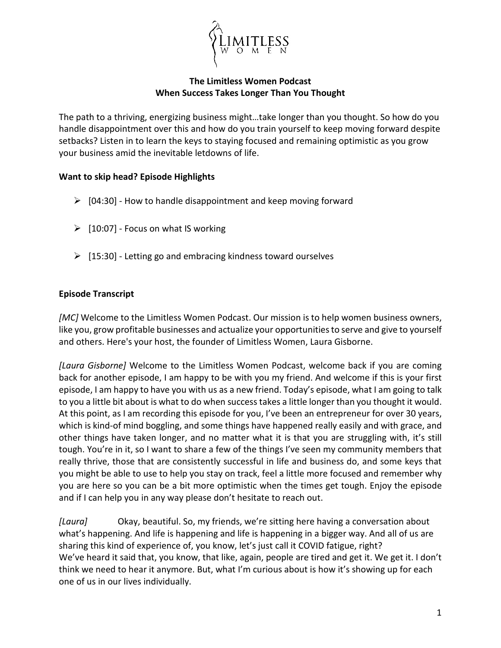

## **The Limitless Women Podcast When Success Takes Longer Than You Thought**

The path to a thriving, energizing business might…take longer than you thought. So how do you handle disappointment over this and how do you train yourself to keep moving forward despite setbacks? Listen in to learn the keys to staying focused and remaining optimistic as you grow your business amid the inevitable letdowns of life.

## **Want to skip head? Episode Highlights**

- $\triangleright$  [04:30] How to handle disappointment and keep moving forward
- $\triangleright$  [10:07] Focus on what IS working
- $\triangleright$  [15:30] Letting go and embracing kindness toward ourselves

## **Episode Transcript**

*[MC]* Welcome to the Limitless Women Podcast. Our mission is to help women business owners, like you, grow profitable businesses and actualize your opportunities to serve and give to yourself and others. Here's your host, the founder of Limitless Women, Laura Gisborne.

*[Laura Gisborne]* Welcome to the Limitless Women Podcast, welcome back if you are coming back for another episode, I am happy to be with you my friend. And welcome if this is your first episode, I am happy to have you with us as a new friend. Today's episode, what I am going to talk to you a little bit about is what to do when success takes a little longer than you thought it would. At this point, as I am recording this episode for you, I've been an entrepreneur for over 30 years, which is kind-of mind boggling, and some things have happened really easily and with grace, and other things have taken longer, and no matter what it is that you are struggling with, it's still tough. You're in it, so I want to share a few of the things I've seen my community members that really thrive, those that are consistently successful in life and business do, and some keys that you might be able to use to help you stay on track, feel a little more focused and remember why you are here so you can be a bit more optimistic when the times get tough. Enjoy the episode and if I can help you in any way please don't hesitate to reach out.

*[Laura]* Okay, beautiful. So, my friends, we're sitting here having a conversation about what's happening. And life is happening and life is happening in a bigger way. And all of us are sharing this kind of experience of, you know, let's just call it COVID fatigue, right? We've heard it said that, you know, that like, again, people are tired and get it. We get it. I don't think we need to hear it anymore. But, what I'm curious about is how it's showing up for each one of us in our lives individually.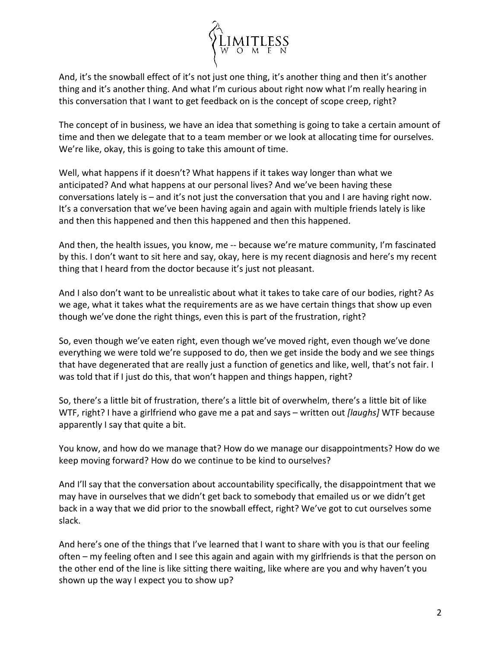

And, it's the snowball effect of it's not just one thing, it's another thing and then it's another thing and it's another thing. And what I'm curious about right now what I'm really hearing in this conversation that I want to get feedback on is the concept of scope creep, right?

The concept of in business, we have an idea that something is going to take a certain amount of time and then we delegate that to a team member or we look at allocating time for ourselves. We're like, okay, this is going to take this amount of time.

Well, what happens if it doesn't? What happens if it takes way longer than what we anticipated? And what happens at our personal lives? And we've been having these conversations lately is – and it's not just the conversation that you and I are having right now. It's a conversation that we've been having again and again with multiple friends lately is like and then this happened and then this happened and then this happened.

And then, the health issues, you know, me -- because we're mature community, I'm fascinated by this. I don't want to sit here and say, okay, here is my recent diagnosis and here's my recent thing that I heard from the doctor because it's just not pleasant.

And I also don't want to be unrealistic about what it takes to take care of our bodies, right? As we age, what it takes what the requirements are as we have certain things that show up even though we've done the right things, even this is part of the frustration, right?

So, even though we've eaten right, even though we've moved right, even though we've done everything we were told we're supposed to do, then we get inside the body and we see things that have degenerated that are really just a function of genetics and like, well, that's not fair. I was told that if I just do this, that won't happen and things happen, right?

So, there's a little bit of frustration, there's a little bit of overwhelm, there's a little bit of like WTF, right? I have a girlfriend who gave me a pat and says – written out *[laughs]* WTF because apparently I say that quite a bit.

You know, and how do we manage that? How do we manage our disappointments? How do we keep moving forward? How do we continue to be kind to ourselves?

And I'll say that the conversation about accountability specifically, the disappointment that we may have in ourselves that we didn't get back to somebody that emailed us or we didn't get back in a way that we did prior to the snowball effect, right? We've got to cut ourselves some slack.

And here's one of the things that I've learned that I want to share with you is that our feeling often – my feeling often and I see this again and again with my girlfriends is that the person on the other end of the line is like sitting there waiting, like where are you and why haven't you shown up the way I expect you to show up?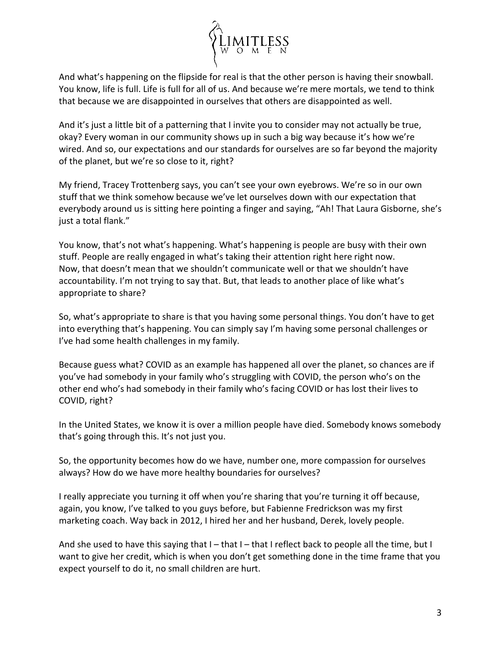

And what's happening on the flipside for real is that the other person is having their snowball. You know, life is full. Life is full for all of us. And because we're mere mortals, we tend to think that because we are disappointed in ourselves that others are disappointed as well.

And it's just a little bit of a patterning that I invite you to consider may not actually be true, okay? Every woman in our community shows up in such a big way because it's how we're wired. And so, our expectations and our standards for ourselves are so far beyond the majority of the planet, but we're so close to it, right?

My friend, Tracey Trottenberg says, you can't see your own eyebrows. We're so in our own stuff that we think somehow because we've let ourselves down with our expectation that everybody around us is sitting here pointing a finger and saying, "Ah! That Laura Gisborne, she's just a total flank."

You know, that's not what's happening. What's happening is people are busy with their own stuff. People are really engaged in what's taking their attention right here right now. Now, that doesn't mean that we shouldn't communicate well or that we shouldn't have accountability. I'm not trying to say that. But, that leads to another place of like what's appropriate to share?

So, what's appropriate to share is that you having some personal things. You don't have to get into everything that's happening. You can simply say I'm having some personal challenges or I've had some health challenges in my family.

Because guess what? COVID as an example has happened all over the planet, so chances are if you've had somebody in your family who's struggling with COVID, the person who's on the other end who's had somebody in their family who's facing COVID or has lost their lives to COVID, right?

In the United States, we know it is over a million people have died. Somebody knows somebody that's going through this. It's not just you.

So, the opportunity becomes how do we have, number one, more compassion for ourselves always? How do we have more healthy boundaries for ourselves?

I really appreciate you turning it off when you're sharing that you're turning it off because, again, you know, I've talked to you guys before, but Fabienne Fredrickson was my first marketing coach. Way back in 2012, I hired her and her husband, Derek, lovely people.

And she used to have this saying that  $I$  – that  $I$  – that I reflect back to people all the time, but I want to give her credit, which is when you don't get something done in the time frame that you expect yourself to do it, no small children are hurt.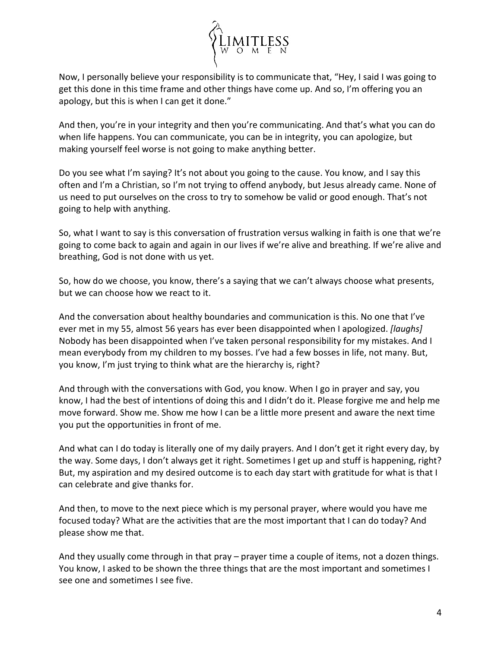

Now, I personally believe your responsibility is to communicate that, "Hey, I said I was going to get this done in this time frame and other things have come up. And so, I'm offering you an apology, but this is when I can get it done."

And then, you're in your integrity and then you're communicating. And that's what you can do when life happens. You can communicate, you can be in integrity, you can apologize, but making yourself feel worse is not going to make anything better.

Do you see what I'm saying? It's not about you going to the cause. You know, and I say this often and I'm a Christian, so I'm not trying to offend anybody, but Jesus already came. None of us need to put ourselves on the cross to try to somehow be valid or good enough. That's not going to help with anything.

So, what I want to say is this conversation of frustration versus walking in faith is one that we're going to come back to again and again in our lives if we're alive and breathing. If we're alive and breathing, God is not done with us yet.

So, how do we choose, you know, there's a saying that we can't always choose what presents, but we can choose how we react to it.

And the conversation about healthy boundaries and communication is this. No one that I've ever met in my 55, almost 56 years has ever been disappointed when I apologized. *[laughs]* Nobody has been disappointed when I've taken personal responsibility for my mistakes. And I mean everybody from my children to my bosses. I've had a few bosses in life, not many. But, you know, I'm just trying to think what are the hierarchy is, right?

And through with the conversations with God, you know. When I go in prayer and say, you know, I had the best of intentions of doing this and I didn't do it. Please forgive me and help me move forward. Show me. Show me how I can be a little more present and aware the next time you put the opportunities in front of me.

And what can I do today is literally one of my daily prayers. And I don't get it right every day, by the way. Some days, I don't always get it right. Sometimes I get up and stuff is happening, right? But, my aspiration and my desired outcome is to each day start with gratitude for what is that I can celebrate and give thanks for.

And then, to move to the next piece which is my personal prayer, where would you have me focused today? What are the activities that are the most important that I can do today? And please show me that.

And they usually come through in that pray – prayer time a couple of items, not a dozen things. You know, I asked to be shown the three things that are the most important and sometimes I see one and sometimes I see five.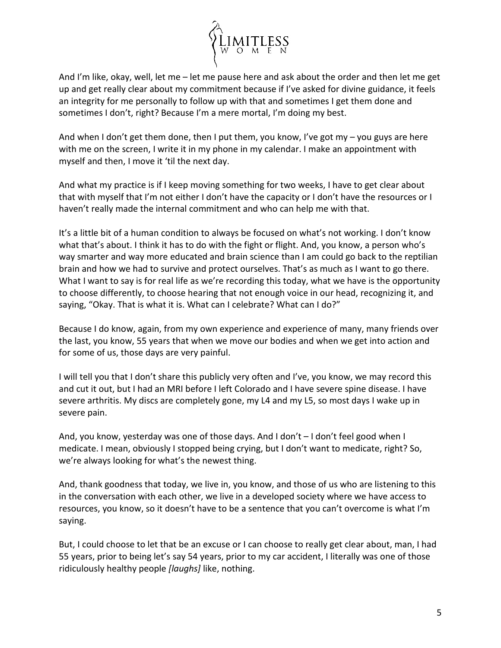

And I'm like, okay, well, let me – let me pause here and ask about the order and then let me get up and get really clear about my commitment because if I've asked for divine guidance, it feels an integrity for me personally to follow up with that and sometimes I get them done and sometimes I don't, right? Because I'm a mere mortal, I'm doing my best.

And when I don't get them done, then I put them, you know, I've got my  $-$  you guys are here with me on the screen, I write it in my phone in my calendar. I make an appointment with myself and then, I move it 'til the next day.

And what my practice is if I keep moving something for two weeks, I have to get clear about that with myself that I'm not either I don't have the capacity or I don't have the resources or I haven't really made the internal commitment and who can help me with that.

It's a little bit of a human condition to always be focused on what's not working. I don't know what that's about. I think it has to do with the fight or flight. And, you know, a person who's way smarter and way more educated and brain science than I am could go back to the reptilian brain and how we had to survive and protect ourselves. That's as much as I want to go there. What I want to say is for real life as we're recording this today, what we have is the opportunity to choose differently, to choose hearing that not enough voice in our head, recognizing it, and saying, "Okay. That is what it is. What can I celebrate? What can I do?"

Because I do know, again, from my own experience and experience of many, many friends over the last, you know, 55 years that when we move our bodies and when we get into action and for some of us, those days are very painful.

I will tell you that I don't share this publicly very often and I've, you know, we may record this and cut it out, but I had an MRI before I left Colorado and I have severe spine disease. I have severe arthritis. My discs are completely gone, my L4 and my L5, so most days I wake up in severe pain.

And, you know, yesterday was one of those days. And I don't – I don't feel good when I medicate. I mean, obviously I stopped being crying, but I don't want to medicate, right? So, we're always looking for what's the newest thing.

And, thank goodness that today, we live in, you know, and those of us who are listening to this in the conversation with each other, we live in a developed society where we have access to resources, you know, so it doesn't have to be a sentence that you can't overcome is what I'm saying.

But, I could choose to let that be an excuse or I can choose to really get clear about, man, I had 55 years, prior to being let's say 54 years, prior to my car accident, I literally was one of those ridiculously healthy people *[laughs]* like, nothing.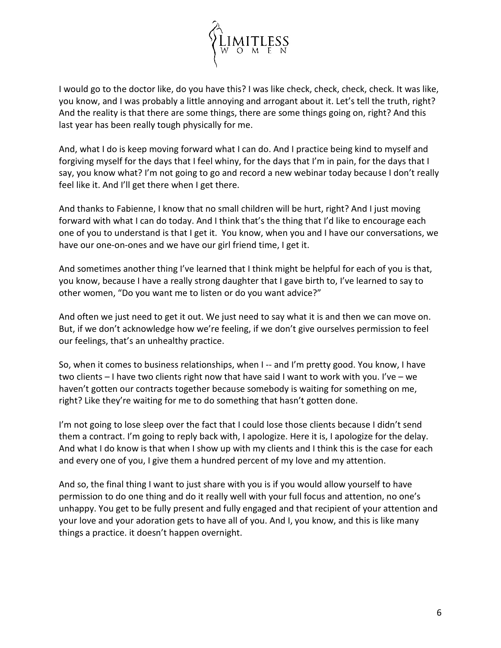

I would go to the doctor like, do you have this? I was like check, check, check, check. It was like, you know, and I was probably a little annoying and arrogant about it. Let's tell the truth, right? And the reality is that there are some things, there are some things going on, right? And this last year has been really tough physically for me.

And, what I do is keep moving forward what I can do. And I practice being kind to myself and forgiving myself for the days that I feel whiny, for the days that I'm in pain, for the days that I say, you know what? I'm not going to go and record a new webinar today because I don't really feel like it. And I'll get there when I get there.

And thanks to Fabienne, I know that no small children will be hurt, right? And I just moving forward with what I can do today. And I think that's the thing that I'd like to encourage each one of you to understand is that I get it. You know, when you and I have our conversations, we have our one-on-ones and we have our girl friend time, I get it.

And sometimes another thing I've learned that I think might be helpful for each of you is that, you know, because I have a really strong daughter that I gave birth to, I've learned to say to other women, "Do you want me to listen or do you want advice?"

And often we just need to get it out. We just need to say what it is and then we can move on. But, if we don't acknowledge how we're feeling, if we don't give ourselves permission to feel our feelings, that's an unhealthy practice.

So, when it comes to business relationships, when I -- and I'm pretty good. You know, I have two clients – I have two clients right now that have said I want to work with you. I've – we haven't gotten our contracts together because somebody is waiting for something on me, right? Like they're waiting for me to do something that hasn't gotten done.

I'm not going to lose sleep over the fact that I could lose those clients because I didn't send them a contract. I'm going to reply back with, I apologize. Here it is, I apologize for the delay. And what I do know is that when I show up with my clients and I think this is the case for each and every one of you, I give them a hundred percent of my love and my attention.

And so, the final thing I want to just share with you is if you would allow yourself to have permission to do one thing and do it really well with your full focus and attention, no one's unhappy. You get to be fully present and fully engaged and that recipient of your attention and your love and your adoration gets to have all of you. And I, you know, and this is like many things a practice. it doesn't happen overnight.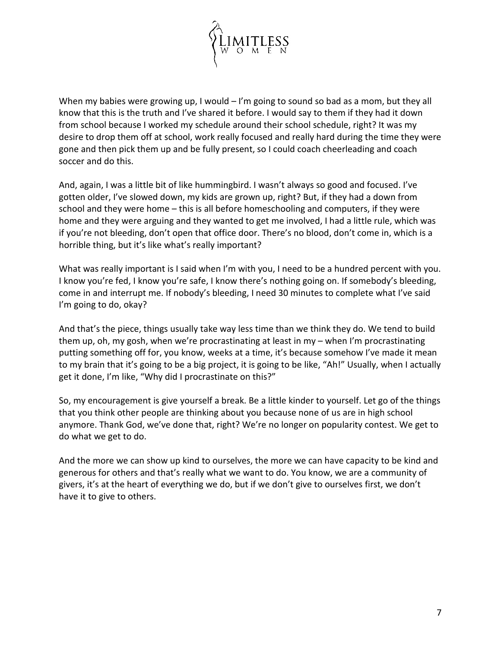

When my babies were growing up, I would  $-1$ 'm going to sound so bad as a mom, but they all know that this is the truth and I've shared it before. I would say to them if they had it down from school because I worked my schedule around their school schedule, right? It was my desire to drop them off at school, work really focused and really hard during the time they were gone and then pick them up and be fully present, so I could coach cheerleading and coach soccer and do this.

And, again, I was a little bit of like hummingbird. I wasn't always so good and focused. I've gotten older, I've slowed down, my kids are grown up, right? But, if they had a down from school and they were home – this is all before homeschooling and computers, if they were home and they were arguing and they wanted to get me involved, I had a little rule, which was if you're not bleeding, don't open that office door. There's no blood, don't come in, which is a horrible thing, but it's like what's really important?

What was really important is I said when I'm with you, I need to be a hundred percent with you. I know you're fed, I know you're safe, I know there's nothing going on. If somebody's bleeding, come in and interrupt me. If nobody's bleeding, I need 30 minutes to complete what I've said I'm going to do, okay?

And that's the piece, things usually take way less time than we think they do. We tend to build them up, oh, my gosh, when we're procrastinating at least in my – when I'm procrastinating putting something off for, you know, weeks at a time, it's because somehow I've made it mean to my brain that it's going to be a big project, it is going to be like, "Ah!" Usually, when I actually get it done, I'm like, "Why did I procrastinate on this?"

So, my encouragement is give yourself a break. Be a little kinder to yourself. Let go of the things that you think other people are thinking about you because none of us are in high school anymore. Thank God, we've done that, right? We're no longer on popularity contest. We get to do what we get to do.

And the more we can show up kind to ourselves, the more we can have capacity to be kind and generous for others and that's really what we want to do. You know, we are a community of givers, it's at the heart of everything we do, but if we don't give to ourselves first, we don't have it to give to others.